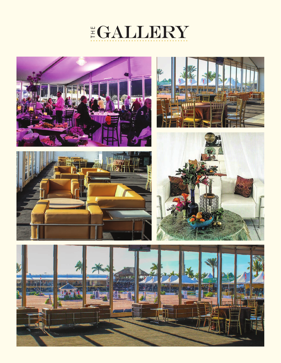









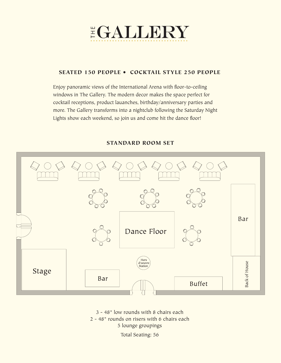

# SEATED 150 PEOPLE • COCKTAIL STYLE 250 PEOPLE

Enjoy panoramic views of the International Arena with floor-to-ceiling windows in The Gallery. The modern decor makes the space perfect for cocktail receptions, product lauanches, birthday/anniversary parties and more. The Gallery transforms into a nightclub following the Saturday Night Lights show each weekend, so join us and come hit the dance floor!

# STANDARD ROOM SET



3 - 48" low rounds with 8 chairs each 2 - 48" rounds on risers with 6 chairs each 5 lounge groupings

Total Seating: 56